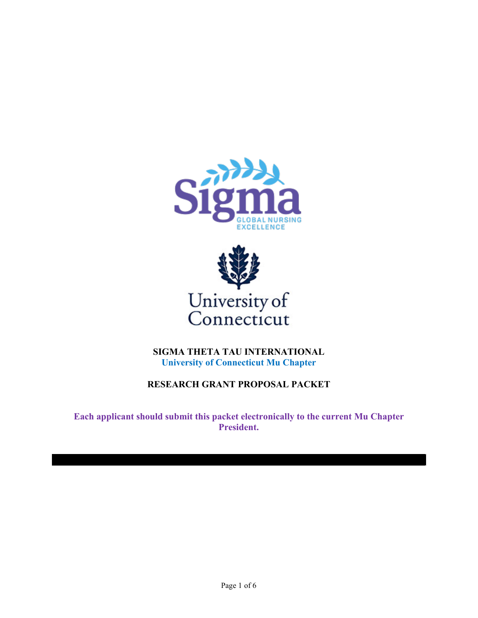



**SIGMA THETA TAU INTERNATIONAL University of Connecticut Mu Chapter**

# **RESEARCH GRANT PROPOSAL PACKET**

**Each applicant should submit this packet electronically to the current Mu Chapter President.**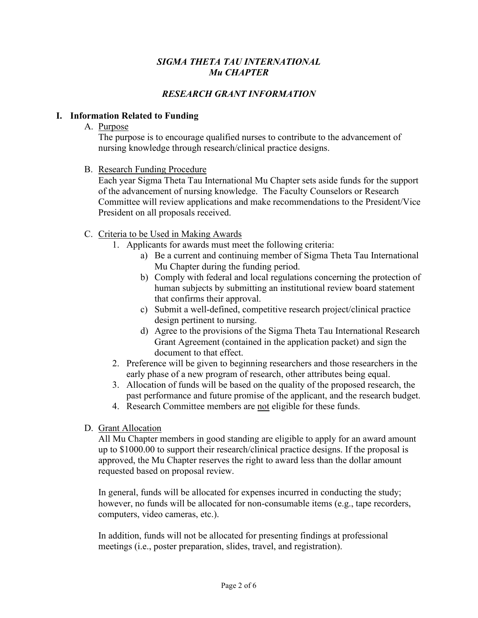### *SIGMA THETA TAU INTERNATIONAL Mu CHAPTER*

# *RESEARCH GRANT INFORMATION*

#### **I. Information Related to Funding**

A. Purpose

The purpose is to encourage qualified nurses to contribute to the advancement of nursing knowledge through research/clinical practice designs.

B. Research Funding Procedure

Each year Sigma Theta Tau International Mu Chapter sets aside funds for the support of the advancement of nursing knowledge. The Faculty Counselors or Research Committee will review applications and make recommendations to the President/Vice President on all proposals received.

- C. Criteria to be Used in Making Awards
	- 1. Applicants for awards must meet the following criteria:
		- a) Be a current and continuing member of Sigma Theta Tau International Mu Chapter during the funding period.
		- b) Comply with federal and local regulations concerning the protection of human subjects by submitting an institutional review board statement that confirms their approval.
		- c) Submit a well-defined, competitive research project/clinical practice design pertinent to nursing.
		- d) Agree to the provisions of the Sigma Theta Tau International Research Grant Agreement (contained in the application packet) and sign the document to that effect.
	- 2. Preference will be given to beginning researchers and those researchers in the early phase of a new program of research, other attributes being equal.
	- 3. Allocation of funds will be based on the quality of the proposed research, the past performance and future promise of the applicant, and the research budget.
	- 4. Research Committee members are not eligible for these funds.
- D. Grant Allocation

All Mu Chapter members in good standing are eligible to apply for an award amount up to \$1000.00 to support their research/clinical practice designs. If the proposal is approved, the Mu Chapter reserves the right to award less than the dollar amount requested based on proposal review.

In general, funds will be allocated for expenses incurred in conducting the study; however, no funds will be allocated for non-consumable items (e.g., tape recorders, computers, video cameras, etc.).

In addition, funds will not be allocated for presenting findings at professional meetings (i.e., poster preparation, slides, travel, and registration).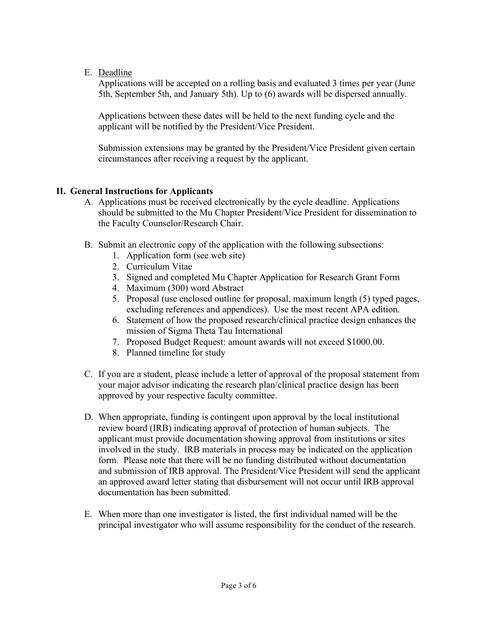E. Deadline

Applications will be accepted on a rolling basis and evaluated 3 times per year (June 5th, September 5th, and January 5th). Up to (6) awards will be dispersed annually.

Applications between these dates will be held to the next funding cycle and the applicant will be notified by the President/Vice President.

Submission extensions may be granted by the President/Vice President given certain circumstances after receiving a request by the applicant.

## **II. General Instructions for Applicants**

- A. Applications must be received electronically by the cycle deadline. Applications should be submitted to the Mu Chapter President/Vice President for dissemination to the Faculty Counselor/Research Chair.
- B. Submit an electronic copy of the application with the following subsections:
	- 1. Application form (see web site)
	- 2. Curriculum Vitae
	- 3. Signed and completed Mu Chapter Application for Research Grant Form
	- 4. Maximum (300) word Abstract
	- 5. Proposal (use enclosed outline for proposal, maximum length (5) typed pages, excluding references and appendices). Use the most recent APA edition.
	- 6. Statement of how the proposed research/clinical practice design enhances the mission of Sigma Theta Tau International
	- 7. Proposed Budget Request: amount awards will not exceed \$1000.00.
	- 8. Planned timeline for study
- C. If you are a student, please include a letter of approval of the proposal statement from your major advisor indicating the research plan/clinical practice design has been approved by your respective faculty committee.
- D. When appropriate, funding is contingent upon approval by the local institutional review board (IRB) indicating approval of protection of human subjects. The applicant must provide documentation showing approval from institutions or sites involved in the study. IRB materials in process may be indicated on the application form. Please note that there will be no funding distributed without documentation and submission of IRB approval. The President/Vice President will send the applicant an approved award letter stating that disbursement will not occur until IRB approval documentation has been submitted.
- E. When more than one investigator is listed, the first individual named will be the principal investigator who will assume responsibility for the conduct of the research.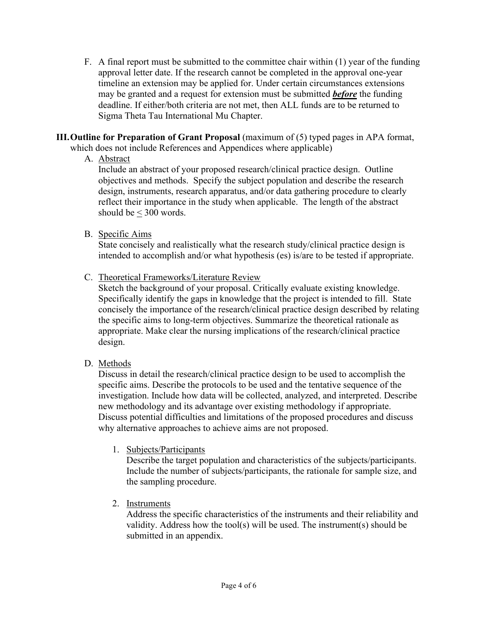- F. A final report must be submitted to the committee chair within (1) year of the funding approval letter date. If the research cannot be completed in the approval one-year timeline an extension may be applied for. Under certain circumstances extensions may be granted and a request for extension must be submitted *before* the funding deadline. If either/both criteria are not met, then ALL funds are to be returned to Sigma Theta Tau International Mu Chapter.
- **III.Outline for Preparation of Grant Proposal** (maximum of (5) typed pages in APA format, which does not include References and Appendices where applicable)
	- A. Abstract

Include an abstract of your proposed research/clinical practice design. Outline objectives and methods. Specify the subject population and describe the research design, instruments, research apparatus, and/or data gathering procedure to clearly reflect their importance in the study when applicable. The length of the abstract should be < 300 words.

B. Specific Aims

State concisely and realistically what the research study/clinical practice design is intended to accomplish and/or what hypothesis (es) is/are to be tested if appropriate.

C. Theoretical Frameworks/Literature Review

Sketch the background of your proposal. Critically evaluate existing knowledge. Specifically identify the gaps in knowledge that the project is intended to fill. State concisely the importance of the research/clinical practice design described by relating the specific aims to long-term objectives. Summarize the theoretical rationale as appropriate. Make clear the nursing implications of the research/clinical practice design.

D. Methods

Discuss in detail the research/clinical practice design to be used to accomplish the specific aims. Describe the protocols to be used and the tentative sequence of the investigation. Include how data will be collected, analyzed, and interpreted. Describe new methodology and its advantage over existing methodology if appropriate. Discuss potential difficulties and limitations of the proposed procedures and discuss why alternative approaches to achieve aims are not proposed.

1. Subjects/Participants

Describe the target population and characteristics of the subjects/participants. Include the number of subjects/participants, the rationale for sample size, and the sampling procedure.

2. Instruments

Address the specific characteristics of the instruments and their reliability and validity. Address how the tool(s) will be used. The instrument(s) should be submitted in an appendix.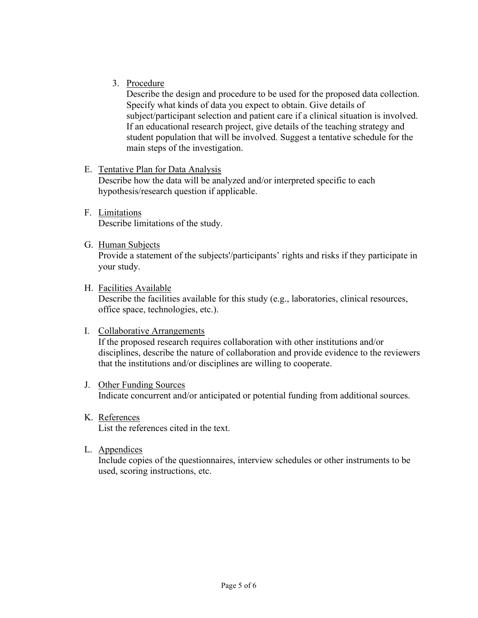3. Procedure

Describe the design and procedure to be used for the proposed data collection. Specify what kinds of data you expect to obtain. Give details of subject/participant selection and patient care if a clinical situation is involved. If an educational research project, give details of the teaching strategy and student population that will be involved. Suggest a tentative schedule for the main steps of the investigation.

E. Tentative Plan for Data Analysis

Describe how the data will be analyzed and/or interpreted specific to each hypothesis/research question if applicable.

- F. Limitations Describe limitations of the study.
- G. Human Subjects

Provide a statement of the subjects'/participants' rights and risks if they participate in your study.

H. Facilities Available

Describe the facilities available for this study (e.g., laboratories, clinical resources, office space, technologies, etc.).

- I. Collaborative Arrangements If the proposed research requires collaboration with other institutions and/or disciplines, describe the nature of collaboration and provide evidence to the reviewers that the institutions and/or disciplines are willing to cooperate.
- J. Other Funding Sources Indicate concurrent and/or anticipated or potential funding from additional sources.
- K. References List the references cited in the text.
- L. Appendices

Include copies of the questionnaires, interview schedules or other instruments to be used, scoring instructions, etc.